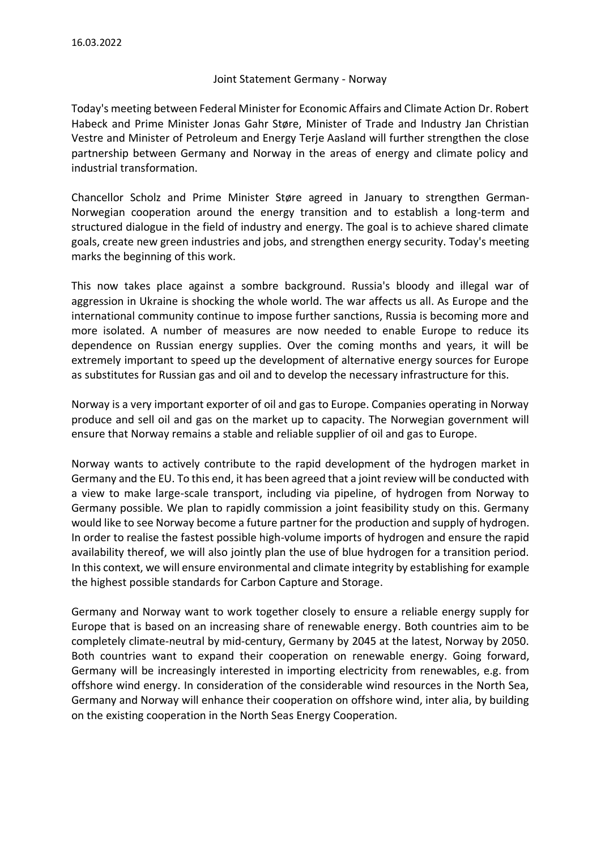## Joint Statement Germany - Norway

Today's meeting between Federal Minister for Economic Affairs and Climate Action Dr. Robert Habeck and Prime Minister Jonas Gahr Støre, Minister of Trade and Industry Jan Christian Vestre and Minister of Petroleum and Energy Terje Aasland will further strengthen the close partnership between Germany and Norway in the areas of energy and climate policy and industrial transformation.

Chancellor Scholz and Prime Minister Støre agreed in January to strengthen German-Norwegian cooperation around the energy transition and to establish a long-term and structured dialogue in the field of industry and energy. The goal is to achieve shared climate goals, create new green industries and jobs, and strengthen energy security. Today's meeting marks the beginning of this work.

This now takes place against a sombre background. Russia's bloody and illegal war of aggression in Ukraine is shocking the whole world. The war affects us all. As Europe and the international community continue to impose further sanctions, Russia is becoming more and more isolated. A number of measures are now needed to enable Europe to reduce its dependence on Russian energy supplies. Over the coming months and years, it will be extremely important to speed up the development of alternative energy sources for Europe as substitutes for Russian gas and oil and to develop the necessary infrastructure for this.

Norway is a very important exporter of oil and gas to Europe. Companies operating in Norway produce and sell oil and gas on the market up to capacity. The Norwegian government will ensure that Norway remains a stable and reliable supplier of oil and gas to Europe.

Norway wants to actively contribute to the rapid development of the hydrogen market in Germany and the EU. To this end, it has been agreed that a joint review will be conducted with a view to make large-scale transport, including via pipeline, of hydrogen from Norway to Germany possible. We plan to rapidly commission a joint feasibility study on this. Germany would like to see Norway become a future partner for the production and supply of hydrogen. In order to realise the fastest possible high-volume imports of hydrogen and ensure the rapid availability thereof, we will also jointly plan the use of blue hydrogen for a transition period. In this context, we will ensure environmental and climate integrity by establishing for example the highest possible standards for Carbon Capture and Storage.

Germany and Norway want to work together closely to ensure a reliable energy supply for Europe that is based on an increasing share of renewable energy. Both countries aim to be completely climate-neutral by mid-century, Germany by 2045 at the latest, Norway by 2050. Both countries want to expand their cooperation on renewable energy. Going forward, Germany will be increasingly interested in importing electricity from renewables, e.g. from offshore wind energy. In consideration of the considerable wind resources in the North Sea, Germany and Norway will enhance their cooperation on offshore wind, inter alia, by building on the existing cooperation in the North Seas Energy Cooperation.